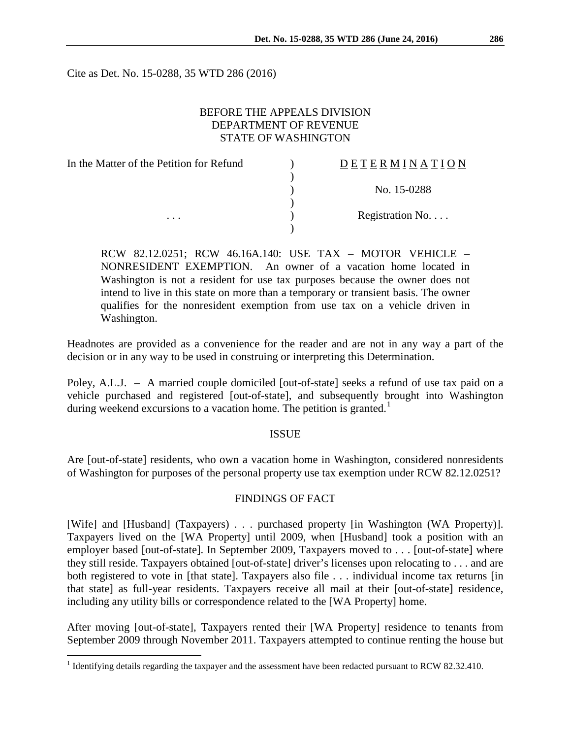Cite as Det. No. 15-0288, 35 WTD 286 (2016)

# BEFORE THE APPEALS DIVISION DEPARTMENT OF REVENUE STATE OF WASHINGTON

| In the Matter of the Petition for Refund | DETERMINATION   |
|------------------------------------------|-----------------|
|                                          |                 |
|                                          | No. 15-0288     |
|                                          |                 |
| $\cdots$                                 | Registration No |
|                                          |                 |

RCW 82.12.0251; RCW 46.16A.140: USE TAX – MOTOR VEHICLE – NONRESIDENT EXEMPTION. An owner of a vacation home located in Washington is not a resident for use tax purposes because the owner does not intend to live in this state on more than a temporary or transient basis. The owner qualifies for the nonresident exemption from use tax on a vehicle driven in Washington.

Headnotes are provided as a convenience for the reader and are not in any way a part of the decision or in any way to be used in construing or interpreting this Determination.

Poley, A.L.J. – A married couple domiciled [out-of-state] seeks a refund of use tax paid on a vehicle purchased and registered [out-of-state], and subsequently brought into Washington during weekend excursions to a vacation home. The petition is granted.<sup>[1](#page-0-0)</sup>

### ISSUE

Are [out-of-state] residents, who own a vacation home in Washington, considered nonresidents of Washington for purposes of the personal property use tax exemption under RCW 82.12.0251?

### FINDINGS OF FACT

[Wife] and [Husband] (Taxpayers) . . . purchased property [in Washington (WA Property)]. Taxpayers lived on the [WA Property] until 2009, when [Husband] took a position with an employer based [out-of-state]. In September 2009, Taxpayers moved to . . . [out-of-state] where they still reside. Taxpayers obtained [out-of-state] driver's licenses upon relocating to . . . and are both registered to vote in [that state]. Taxpayers also file . . . individual income tax returns [in that state] as full-year residents. Taxpayers receive all mail at their [out-of-state] residence, including any utility bills or correspondence related to the [WA Property] home.

After moving [out-of-state], Taxpayers rented their [WA Property] residence to tenants from September 2009 through November 2011. Taxpayers attempted to continue renting the house but

<span id="page-0-0"></span><sup>&</sup>lt;sup>1</sup> Identifying details regarding the taxpayer and the assessment have been redacted pursuant to RCW 82.32.410.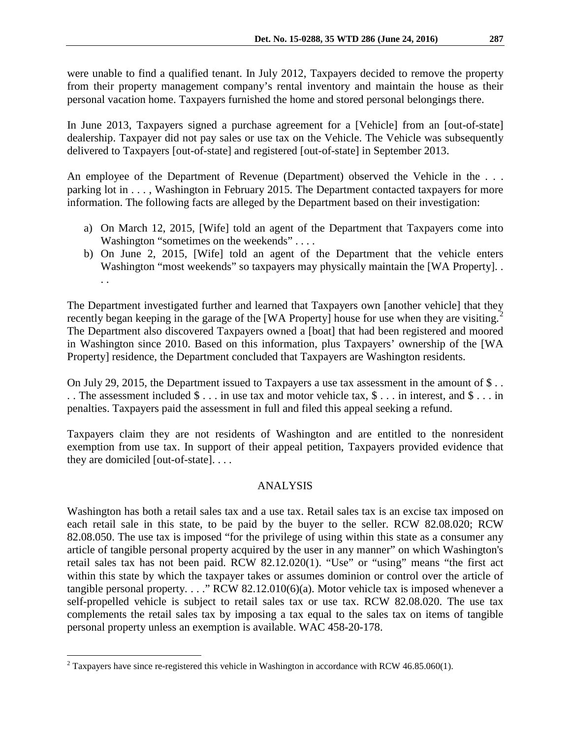were unable to find a qualified tenant. In July 2012, Taxpayers decided to remove the property from their property management company's rental inventory and maintain the house as their personal vacation home. Taxpayers furnished the home and stored personal belongings there.

In June 2013, Taxpayers signed a purchase agreement for a [Vehicle] from an [out-of-state] dealership. Taxpayer did not pay sales or use tax on the Vehicle. The Vehicle was subsequently delivered to Taxpayers [out-of-state] and registered [out-of-state] in September 2013.

An employee of the Department of Revenue (Department) observed the Vehicle in the . . . parking lot in . . . , Washington in February 2015. The Department contacted taxpayers for more information. The following facts are alleged by the Department based on their investigation:

- a) On March 12, 2015, [Wife] told an agent of the Department that Taxpayers come into Washington "sometimes on the weekends" . . . .
- b) On June 2, 2015, [Wife] told an agent of the Department that the vehicle enters Washington "most weekends" so taxpayers may physically maintain the [WA Property]. . . .

The Department investigated further and learned that Taxpayers own [another vehicle] that they recently began keeping in the garage of the [WA Property] house for use when they are visiting.<sup>[2](#page-1-0)</sup> The Department also discovered Taxpayers owned a [boat] that had been registered and moored in Washington since 2010. Based on this information, plus Taxpayers' ownership of the [WA Property] residence, the Department concluded that Taxpayers are Washington residents.

On July 29, 2015, the Department issued to Taxpayers a use tax assessment in the amount of \$ . . . . The assessment included \$ . . . in use tax and motor vehicle tax, \$ . . . in interest, and \$ . . . in penalties. Taxpayers paid the assessment in full and filed this appeal seeking a refund.

Taxpayers claim they are not residents of Washington and are entitled to the nonresident exemption from use tax. In support of their appeal petition, Taxpayers provided evidence that they are domiciled [out-of-state]. . . .

# ANALYSIS

Washington has both a retail sales tax and a use tax. Retail sales tax is an excise tax imposed on each retail sale in this state, to be paid by the buyer to the seller. RCW 82.08.020; RCW 82.08.050. The use tax is imposed "for the privilege of using within this state as a consumer any article of tangible personal property acquired by the user in any manner" on which Washington's retail sales tax has not been paid. RCW 82.12.020(1). "Use" or "using" means "the first act within this state by which the taxpayer takes or assumes dominion or control over the article of tangible personal property. . . . " RCW 82.12.010(6)(a). Motor vehicle tax is imposed whenever a self-propelled vehicle is subject to retail sales tax or use tax. RCW 82.08.020. The use tax complements the retail sales tax by imposing a tax equal to the sales tax on items of tangible personal property unless an exemption is available. WAC 458-20-178.

<span id="page-1-0"></span> $2$  Taxpayers have since re-registered this vehicle in Washington in accordance with RCW 46.85.060(1).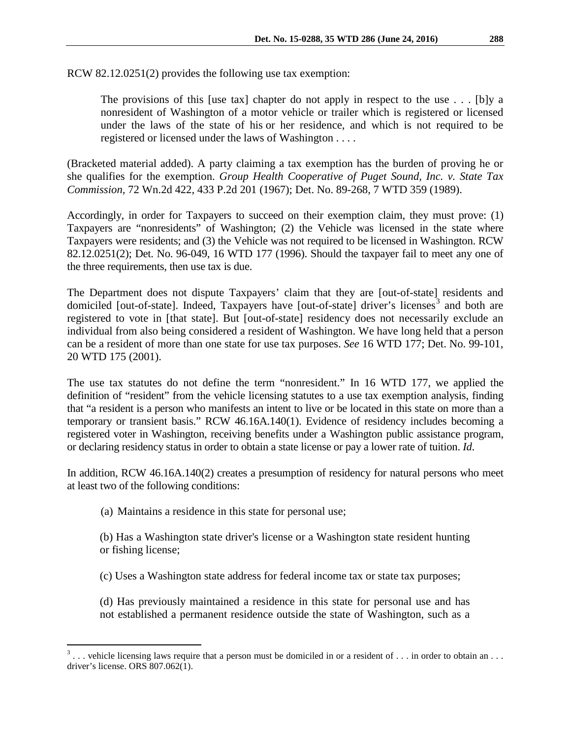The provisions of this [use tax] chapter do not apply in respect to the use  $\dots$  [b]y a nonresident of Washington of a motor vehicle or trailer which is registered or licensed under the laws of the state of his or her residence, and which is not required to be registered or licensed under the laws of Washington . . . .

(Bracketed material added). A party claiming a tax exemption has the burden of proving he or she qualifies for the exemption. *Group Health Cooperative of Puget Sound, Inc. v. State Tax Commission,* 72 Wn.2d 422, 433 P.2d 201 (1967); Det. No. 89-268, 7 WTD 359 (1989).

Accordingly, in order for Taxpayers to succeed on their exemption claim, they must prove: (1) Taxpayers are "nonresidents" of Washington; (2) the Vehicle was licensed in the state where Taxpayers were residents; and (3) the Vehicle was not required to be licensed in Washington. RCW 82.12.0251(2); Det. No. 96-049, 16 WTD 177 (1996). Should the taxpayer fail to meet any one of the three requirements, then use tax is due.

The Department does not dispute Taxpayers' claim that they are [out-of-state] residents and domiciled [out-of-state]. Indeed, Taxpayers have [out-of-state] driver's licenses<sup>[3](#page-2-0)</sup> and both are registered to vote in [that state]. But [out-of-state] residency does not necessarily exclude an individual from also being considered a resident of Washington. We have long held that a person can be a resident of more than one state for use tax purposes. *See* 16 WTD 177; Det. No. 99-101, 20 WTD 175 (2001).

The use tax statutes do not define the term "nonresident." In 16 WTD 177, we applied the definition of "resident" from the vehicle licensing statutes to a use tax exemption analysis, finding that "a resident is a person who manifests an intent to live or be located in this state on more than a temporary or transient basis." RCW 46.16A.140(1). Evidence of residency includes becoming a registered voter in Washington, receiving benefits under a Washington public assistance program, or declaring residency status in order to obtain a state license or pay a lower rate of tuition. *Id*.

In addition, RCW 46.16A.140(2) creates a presumption of residency for natural persons who meet at least two of the following conditions:

(a) Maintains a residence in this state for personal use;

(b) Has a Washington state driver's license or a Washington state resident hunting or fishing license;

- (c) Uses a Washington state address for federal income tax or state tax purposes;
- (d) Has previously maintained a residence in this state for personal use and has not established a permanent residence outside the state of Washington, such as a

<span id="page-2-0"></span> $3 \ldots$  vehicle licensing laws require that a person must be domiciled in or a resident of ... in order to obtain an ... driver's license. ORS 807.062(1).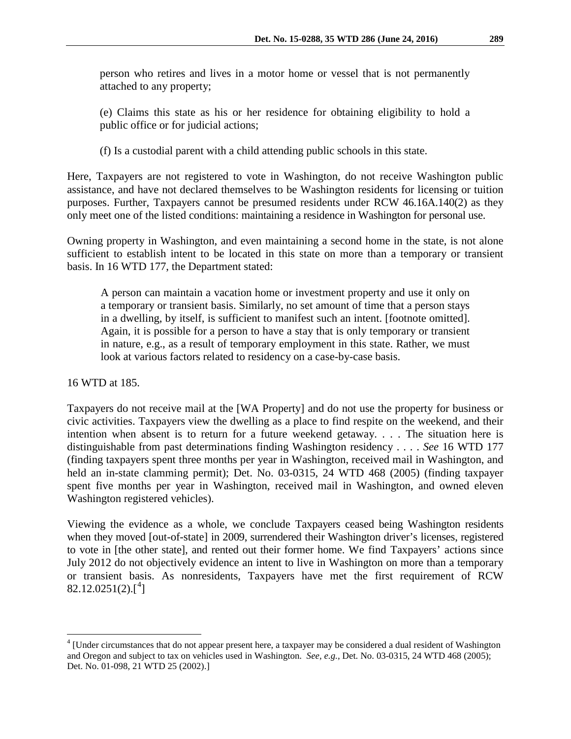person who retires and lives in a motor home or vessel that is not permanently attached to any property;

(e) Claims this state as his or her residence for obtaining eligibility to hold a public office or for judicial actions;

(f) Is a custodial parent with a child attending public schools in this state.

Here, Taxpayers are not registered to vote in Washington, do not receive Washington public assistance, and have not declared themselves to be Washington residents for licensing or tuition purposes. Further, Taxpayers cannot be presumed residents under RCW 46.16A.140(2) as they only meet one of the listed conditions: maintaining a residence in Washington for personal use.

Owning property in Washington, and even maintaining a second home in the state, is not alone sufficient to establish intent to be located in this state on more than a temporary or transient basis. In 16 WTD 177, the Department stated:

A person can maintain a vacation home or investment property and use it only on a temporary or transient basis. Similarly, no set amount of time that a person stays in a dwelling, by itself, is sufficient to manifest such an intent. [footnote omitted]. Again, it is possible for a person to have a stay that is only temporary or transient in nature, e.g., as a result of temporary employment in this state. Rather, we must look at various factors related to residency on a case-by-case basis.

16 WTD at 185.

Taxpayers do not receive mail at the [WA Property] and do not use the property for business or civic activities. Taxpayers view the dwelling as a place to find respite on the weekend, and their intention when absent is to return for a future weekend getaway. . . . The situation here is distinguishable from past determinations finding Washington residency . . . . *See* 16 WTD 177 (finding taxpayers spent three months per year in Washington, received mail in Washington, and held an in-state clamming permit); Det. No. 03-0315, 24 WTD 468 (2005) (finding taxpayer spent five months per year in Washington, received mail in Washington, and owned eleven Washington registered vehicles).

Viewing the evidence as a whole, we conclude Taxpayers ceased being Washington residents when they moved [out-of-state] in 2009, surrendered their Washington driver's licenses, registered to vote in [the other state], and rented out their former home. We find Taxpayers' actions since July 2012 do not objectively evidence an intent to live in Washington on more than a temporary or transient basis. As nonresidents, Taxpayers have met the first requirement of RCW  $82.12.0251(2).[^4]$  $82.12.0251(2).[^4]$  $82.12.0251(2).[^4]$ 

<span id="page-3-0"></span> <sup>4</sup> [Under circumstances that do not appear present here, a taxpayer may be considered a dual resident of Washington and Oregon and subject to tax on vehicles used in Washington. *See, e.g.,* Det. No. 03-0315, 24 WTD 468 (2005); Det. No. 01-098, 21 WTD 25 (2002).]